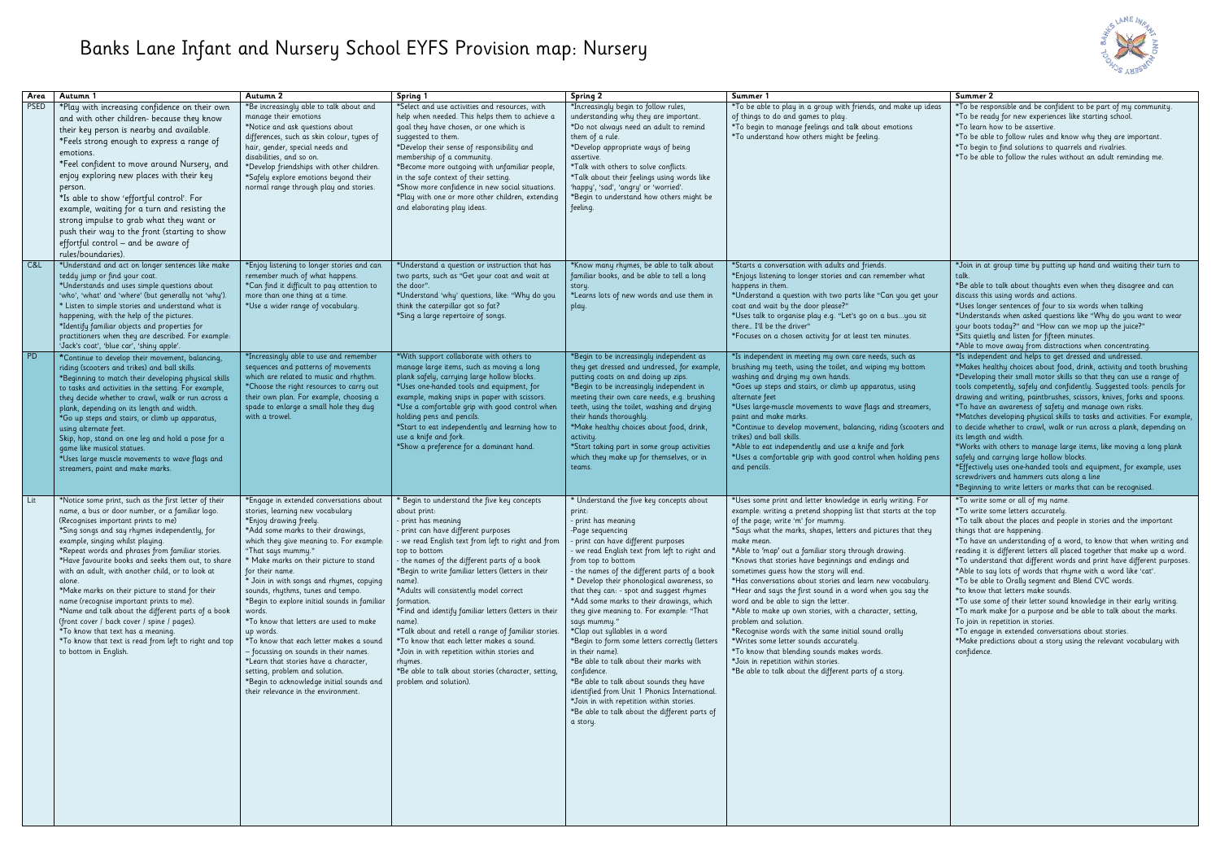## Banks Lane Infant and Nursery School EYFS Provision map: Nursery

| Area        | Autumn 1                                                                                                                                                                                                                                                                                                                                                                                                                                                                                                                                                                                                                                                                                                                                | Autumn 2                                                                                                                                                                                                                                                                                                                                                                                                                                                                                                                                                                                                                                                                                                                       | Spring 1                                                                                                                                                                                                                                                                                                                                                                                                                                                                                                                                                                                                                                                                                   | Spring 2                                                                                                                                                                                                                                                                                                                                                                                                                                                                                                                                                                                                                                                                                                                                                                                                                           | Summer 1                                                                                                                                                                                                                                                                                                                                                                                                                                                                                                                                                                                                                                                                                                                                                                                                                                                                                                            | Summer 2                                                                                                                                                                                                                                 |
|-------------|-----------------------------------------------------------------------------------------------------------------------------------------------------------------------------------------------------------------------------------------------------------------------------------------------------------------------------------------------------------------------------------------------------------------------------------------------------------------------------------------------------------------------------------------------------------------------------------------------------------------------------------------------------------------------------------------------------------------------------------------|--------------------------------------------------------------------------------------------------------------------------------------------------------------------------------------------------------------------------------------------------------------------------------------------------------------------------------------------------------------------------------------------------------------------------------------------------------------------------------------------------------------------------------------------------------------------------------------------------------------------------------------------------------------------------------------------------------------------------------|--------------------------------------------------------------------------------------------------------------------------------------------------------------------------------------------------------------------------------------------------------------------------------------------------------------------------------------------------------------------------------------------------------------------------------------------------------------------------------------------------------------------------------------------------------------------------------------------------------------------------------------------------------------------------------------------|------------------------------------------------------------------------------------------------------------------------------------------------------------------------------------------------------------------------------------------------------------------------------------------------------------------------------------------------------------------------------------------------------------------------------------------------------------------------------------------------------------------------------------------------------------------------------------------------------------------------------------------------------------------------------------------------------------------------------------------------------------------------------------------------------------------------------------|---------------------------------------------------------------------------------------------------------------------------------------------------------------------------------------------------------------------------------------------------------------------------------------------------------------------------------------------------------------------------------------------------------------------------------------------------------------------------------------------------------------------------------------------------------------------------------------------------------------------------------------------------------------------------------------------------------------------------------------------------------------------------------------------------------------------------------------------------------------------------------------------------------------------|------------------------------------------------------------------------------------------------------------------------------------------------------------------------------------------------------------------------------------------|
| <b>PSED</b> | *Play with increasing confidence on their own<br>and with other children- because they know<br>their key person is nearby and available.<br>*Feels strong enough to express a range of<br>emotions.<br>*Feel confident to move around Nursery, and<br>enjoy exploring new places with their key<br>person.<br>*Is able to show 'effortful control'. For<br>example, waiting for a turn and resisting the<br>strong impulse to grab what they want or<br>push their way to the front (starting to show<br>effortful control - and be aware of<br>rules/boundaries).                                                                                                                                                                      | *Be increasingly able to talk about and<br>manage their emotions<br>*Notice and ask questions about<br>differences, such as skin colour, types of<br>hair, gender, special needs and<br>disabilities, and so on.<br>*Develop friendships with other children.<br>*Safely explore emotions beyond their<br>normal range through play and stories.                                                                                                                                                                                                                                                                                                                                                                               | *Select and use activities and resources, with<br>help when needed. This helps them to achieve a<br>goal they have chosen, or one which is<br>suggested to them.<br>*Develop their sense of responsibility and<br>membership of a community.<br>*Become more outgoing with unfamiliar people,<br>in the safe context of their setting.<br>*Show more confidence in new social situations.<br>*Play with one or more other children, extending<br>and elaborating play ideas.                                                                                                                                                                                                               | *Increasingly begin to follow rules,<br>understanding why they are important.<br>*Do not always need an adult to remind<br>them of a rule.<br>*Develop appropriate ways of being<br>assertive.<br>*Talk with others to solve conflicts.<br>*Talk about their feelings using words like<br>'happy', 'sad', 'angry' or 'worried'.<br>*Begin to understand how others might be<br>feeling.                                                                                                                                                                                                                                                                                                                                                                                                                                            | *To be able to play in a group with friends, and make up ideas<br>of things to do and games to play.<br>*To begin to manage feelings and talk about emotions<br>*To understand how others might be feeling.                                                                                                                                                                                                                                                                                                                                                                                                                                                                                                                                                                                                                                                                                                         | *To be resp<br>*To be rea<br>*To learn h<br>*To be able<br>*To begin t<br>*To be able                                                                                                                                                    |
| C&L         | *Understand and act on longer sentences like make<br>teddy jump or find your coat.<br>*Understands and uses simple questions about<br>'who', 'what' and 'where' (but generally not 'why').<br>* Listen to simple stories and understand what is<br>happening, with the help of the pictures.<br>*Identify familiar objects and properties for<br>practitioners when they are described. For example:<br>'Jack's coat', 'blue car', 'shiny apple'.                                                                                                                                                                                                                                                                                       | *Enjoy listening to longer stories and can<br>remember much of what happens.<br>*Can find it difficult to pay attention to<br>more than one thing at a time.<br>*Use a wider range of vocabulary.                                                                                                                                                                                                                                                                                                                                                                                                                                                                                                                              | *Understand a question or instruction that has<br>two parts, such as "Get your coat and wait at<br>the door".<br>*Understand 'why' questions, like: "Why do you<br>think the caterpillar got so fat?<br>*Sing a large repertoire of songs.                                                                                                                                                                                                                                                                                                                                                                                                                                                 | *Know many rhymes, be able to talk about<br>familiar books, and be able to tell a long<br>story.<br>*Learns lots of new words and use them in<br>play.                                                                                                                                                                                                                                                                                                                                                                                                                                                                                                                                                                                                                                                                             | *Starts a conversation with adults and friends.<br>*Enjoys listening to longer stories and can remember what<br>happens in them.<br>*Understand a question with two parts like "Can you get your<br>coat and wait by the door please?"<br>*Uses talk to organise play e.g. "Let's go on a busyou sit<br>there I'll be the driver"<br>*Focuses on a chosen activity for at least ten minutes.                                                                                                                                                                                                                                                                                                                                                                                                                                                                                                                        | *Join in at<br>talk.<br>*Be able to<br>discuss this<br>*Uses long<br>*Understan<br>your boots<br>*Sits quietl<br>*Able to m                                                                                                              |
| <b>PD</b>   | *Continue to develop their movement, balancing,<br>riding (scooters and trikes) and ball skills.<br>*Beginning to match their developing physical skills<br>to tasks and activities in the setting. For example,<br>they decide whether to crawl, walk or run across a<br>plank, depending on its length and width.<br>*Go up steps and stairs, or climb up apparatus,<br>using alternate feet.<br>Skip, hop, stand on one leg and hold a pose for a<br>game like musical statues.<br>*Uses large muscle movements to wave flags and<br>streamers, paint and make marks.                                                                                                                                                                | *Increasingly able to use and remember<br>sequences and patterns of movements<br>which are related to music and rhythm.<br>*Choose the right resources to carry out<br>their own plan. For example, choosing a<br>spade to enlarge a small hole they dug<br>with a trowel.                                                                                                                                                                                                                                                                                                                                                                                                                                                     | *With support collaborate with others to<br>manage large items, such as moving a long<br>plank safely, carrying large hollow blocks.<br>*Uses one-handed tools and equipment, for<br>example, making snips in paper with scissors.<br>*Use a comfortable grip with good control when<br>holding pens and pencils.<br>*Start to eat independently and learning how to<br>use a knife and fork.<br>*Show a preference for a dominant hand.                                                                                                                                                                                                                                                   | *Begin to be increasingly independent as<br>they get dressed and undressed, for example,<br>putting coats on and doing up zips.<br>*Begin to be increasingly independent in<br>meeting their own care needs, e.g. brushing<br>teeth, using the toilet, washing and drying<br>their hands thoroughly.<br>*Make healthy choices about food, drink,<br>activity.<br>*Start taking part in some group activities<br>which they make up for themselves, or in<br>teams.                                                                                                                                                                                                                                                                                                                                                                 | *Is independent in meeting my own care needs, such as<br>brushing my teeth, using the toilet, and wiping my bottom<br>washing and drying my own hands.<br>*Goes up steps and stairs, or climb up apparatus, using<br>alternate feet<br>*Uses large-muscle movements to wave flags and streamers,<br>paint and make marks.<br>*Continue to develop movement, balancing, riding (scooters and<br>trikes) and ball skills.<br>*Able to eat independently and use a knife and fork<br>*Uses a comfortable grip with good control when holding pens<br>and pencils.                                                                                                                                                                                                                                                                                                                                                      | *Is indepen<br>*Makes her<br>*Developin<br>tools comp<br>drawing an<br>*To have a<br>*Matches c<br>to decide w<br>its length a<br>*Works wit<br>safely and<br>*Effectively<br>screwdriver<br>*Beginning                                  |
| Lit         | *Notice some print, such as the first letter of their<br>name, a bus or door number, or a familiar logo.<br>(Recognises important prints to me)<br>*Sing songs and say rhymes independently, for<br>example, singing whilst playing.<br>*Repeat words and phrases from familiar stories.<br>*Have favourite books and seeks them out, to share<br>with an adult, with another child, or to look at<br>alone.<br>*Make marks on their picture to stand for their<br>name (recognise important prints to me).<br>*Name and talk about the different parts of a book<br>(front cover / back cover / spine / pages).<br>*To know that text has a meaning.<br>*To know that text is read from left to right and top<br>to bottom in English. | *Engage in extended conversations about<br>stories, learning new vocabulary<br>*Enjoy drawing freely.<br>*Add some marks to their drawings,<br>which they give meaning to. For example:<br>"That says mummy."<br>* Make marks on their picture to stand<br>for their name.<br>* Join in with songs and rhymes, copying<br>sounds, rhythms, tunes and tempo.<br>*Begin to explore initial sounds in familiar<br>words.<br>*To know that letters are used to make<br>up words.<br>*To know that each letter makes a sound<br>- focussing on sounds in their names.<br>*Learn that stories have a character,<br>setting, problem and solution.<br>*Begin to acknowledge initial sounds and<br>their relevance in the environment. | * Begin to understand the five key concepts<br>about print:<br>- print has meaning<br>- print can have different purposes<br>- we read English text from left to right and from<br>top to bottom<br>- the names of the different parts of a book<br>*Begin to write familiar letters (letters in their<br>name).<br>*Adults will consistently model correct<br>formation.<br>*Find and identify familiar letters (letters in their<br>name).<br>*Talk about and retell a range of familiar stories.<br>*To know that each letter makes a sound.<br>*Join in with repetition within stories and<br>rhymes.<br>*Be able to talk about stories (character, setting,<br>problem and solution). | * Understand the five key concepts about<br>print:<br>- print has meaning<br>-Page sequencing<br>- print can have different purposes<br>- we read English text from left to right and<br>from top to bottom<br>- the names of the different parts of a book<br>* Develop their phonological awareness, so<br>that they can: - spot and suggest rhymes<br>*Add some marks to their drawings, which<br>they give meaning to. For example: "That<br>says mummy."<br>*Clap out syllables in a word<br>*Begin to form some letters correctly (letters<br>in their name).<br>*Be able to talk about their marks with<br>confidence.<br>*Be able to talk about sounds they have<br>identified from Unit 1 Phonics International.<br>*Join in with repetition within stories.<br>*Be able to talk about the different parts of<br>a story. | *Uses some print and letter knowledge in early writing. For<br>example: writing a pretend shopping list that starts at the top<br>of the page; write 'm' for mummy.<br>*Says what the marks, shapes, letters and pictures that they<br>make mean.<br>*Able to 'map' out a familiar story through drawing.<br>*Knows that stories have beginnings and endings and<br>sometimes guess how the story will end.<br>*Has conversations about stories and learn new vocabulary.<br>*Hear and says the first sound in a word when you say the<br>word and be able to sign the letter.<br>*Able to make up own stories, with a character, setting,<br>problem and solution.<br>*Recognise words with the same initial sound orally<br>*Writes some letter sounds accurately.<br>*To know that blending sounds makes words.<br>*Join in repetition within stories.<br>*Be able to talk about the different parts of a story. | *To write s<br>*To write s<br>*To talk ab<br>things that<br>*To have a<br>reading it i<br>*To unders<br>*Able to so<br>*To be able<br>*to know t<br>*To use sor<br>*To mark r<br>To join in r<br>*To engage<br>*Make pred<br>confidence. |



|         | Summer 2                                                                  |
|---------|---------------------------------------------------------------------------|
| ideas   | *To be responsible and be confident to be part of my community.           |
|         | *To be ready for new experiences like starting school.                    |
|         | *To learn how to be assertive.                                            |
|         | *To be able to follow rules and know why they are important.              |
|         | *To begin to find solutions to quarrels and rivalries.                    |
|         |                                                                           |
|         | *To be able to follow the rules without an adult reminding me.            |
|         |                                                                           |
|         |                                                                           |
|         |                                                                           |
|         |                                                                           |
|         |                                                                           |
|         |                                                                           |
|         |                                                                           |
|         |                                                                           |
|         |                                                                           |
|         |                                                                           |
|         |                                                                           |
|         | *Join in at group time by putting up hand and waiting their turn to       |
| ıt      | talk.                                                                     |
|         | *Be able to talk about thoughts even when they disagree and can           |
| gour    | discuss this using words and actions.                                     |
|         | *Uses longer sentences of four to six words when talking                  |
| sit     | *Understands when asked questions like "Why do you want to wear           |
|         | your boots today?" and "How can we mop up the juice?"                     |
|         |                                                                           |
|         | *Sits quietly and listen for fifteen minutes.                             |
|         | *Able to move away from distractions when concentrating.                  |
|         | *Is independent and helps to get dressed and undressed.                   |
| m       | *Makes healthy choices about food, drink, activity and tooth brushing     |
|         | *Developing their small motor skills so that they can use a range of      |
|         | tools competently, safely and confidently. Suggested tools: pencils for   |
|         | drawing and writing, paintbrushes, scissors, knives, forks and spoons.    |
| ers,    | *To have an awareness of safety and manage own risks.                     |
|         | *Matches developing physical skills to tasks and activities. For example, |
|         |                                                                           |
| ers and | to decide whether to crawl, walk or run across a plank, depending on      |
|         | its length and width.                                                     |
|         | *Works with others to manage large items, like moving a long plank        |
| g pens  | safely and carrying large hollow blocks.                                  |
|         | *Effectively uses one-handed tools and equipment, for example, uses       |
|         | screwdrivers and hammers cuts along a line                                |
|         | *Beginning to write letters or marks that can be recognised.              |
|         |                                                                           |
| or.     | *To write some or all of my name.                                         |
| e top   | *To write some letters accurately.                                        |
|         | *To talk about the places and people in stories and the important         |
| hey     | things that are happening.                                                |
|         | *To have an understanding of a word, to know that when writing and        |
|         | reading it is different letters all placed together that make up a word.  |
|         | *To understand that different words and print have different purposes.    |
|         | *Able to say lots of words that rhyme with a word like 'cat'.             |
|         |                                                                           |
| ıry.    | *To be able to Orally segment and Blend CVC words.                        |
| he      | *to know that letters make sounds.                                        |
|         | *To use some of their letter sound knowledge in their early writing.      |
|         | *To mark make for a purpose and be able to talk about the marks.          |
|         | To join in repetition in stories.                                         |
|         | *To engage in extended conversations about stories.                       |
|         | *Make predictions about a story using the relevant vocabulary with        |
|         | confidence.                                                               |
|         |                                                                           |
|         |                                                                           |
|         |                                                                           |
|         |                                                                           |
|         |                                                                           |
|         |                                                                           |
|         |                                                                           |
|         |                                                                           |
|         |                                                                           |
|         |                                                                           |
|         |                                                                           |
|         |                                                                           |
|         |                                                                           |
|         |                                                                           |
|         |                                                                           |
|         |                                                                           |
|         |                                                                           |
|         |                                                                           |